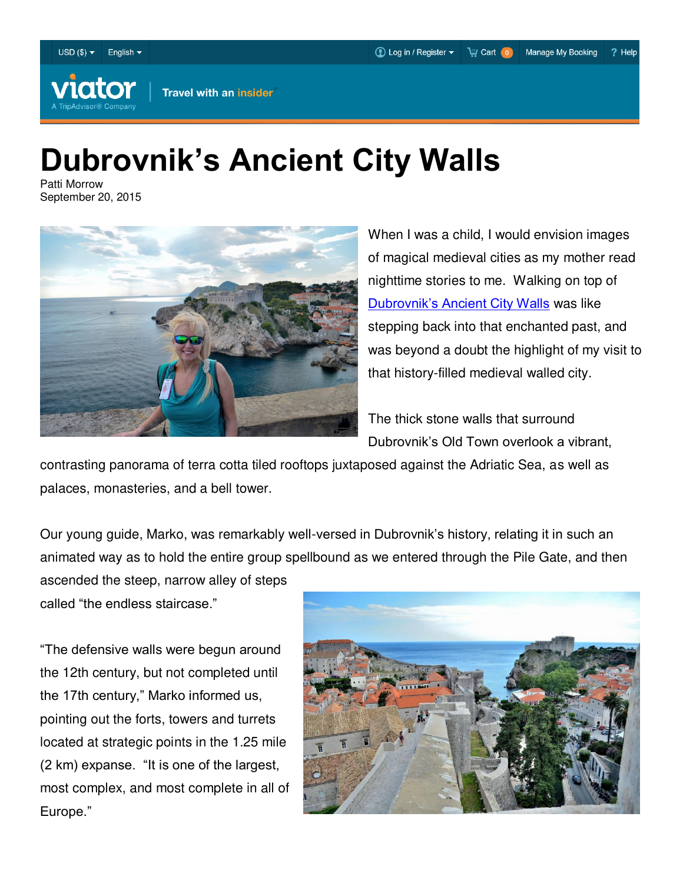

**Travel with an insider** 

## **Dubrovnik's Ancient City Walls**

Patti Morrow September 20, 2015



When I was a child, I would envision images of magical medieval cities as my mother read nighttime stories to me. Walking on top of [Dubrovnik's Ancient City Walls](http://shareasale.com/r.cfm?b=132440&u=750061&m=18208&urllink=www%2Eviator%2Ecom%2Ftours%2FDubrovnik%2FDubrovnik%2DCity%2DWalls%2DWalking%2DTour%2Fd904%2D5360DBVWALLS&afftrack=) was like stepping back into that enchanted past, and was beyond a doubt the highlight of my visit to that history-filled medieval walled city.

The thick stone walls that surround Dubrovnik's Old Town overlook a vibrant,

contrasting panorama of terra cotta tiled rooftops juxtaposed against the Adriatic Sea, as well as palaces, monasteries, and a bell tower.

Our young guide, Marko, was remarkably well-versed in Dubrovnik's history, relating it in such an animated way as to hold the entire group spellbound as we entered through the Pile Gate, and then ascended the steep, narrow alley of steps

called "the endless staircase."

"The defensive walls were begun around the 12th century, but not completed until the 17th century," Marko informed us, pointing out the forts, towers and turrets located at strategic points in the 1.25 mile (2 km) expanse. "It is one of the largest, most complex, and most complete in all of Europe."